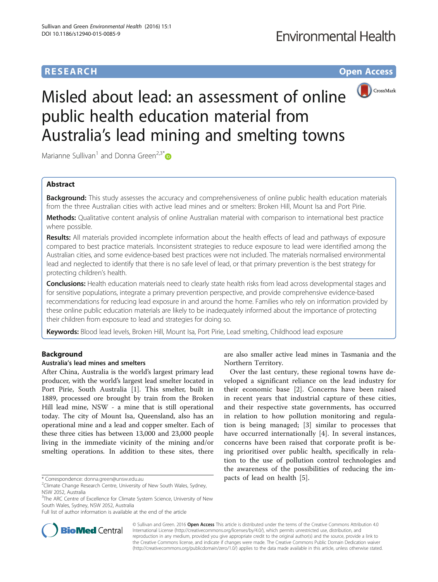# **RESEARCH CHILD CONTROL** CONTROL CONTROL CONTROL CONTROL CONTROL CONTROL CONTROL CONTROL CONTROL CONTROL CONTROL CONTROL CONTROL CONTROL CONTROL CONTROL CONTROL CONTROL CONTROL CONTROL CONTROL CONTROL CONTROL CONTROL CONTR



# Misled about lead: an assessment of online public health education material from Australia's lead mining and smelting towns

Marianne Sullivan<sup>1</sup> and Donna Green<sup>2,3[\\*](http://orcid.org/0000-0003-4521-8735)</sup>

## Abstract

**Background:** This study assesses the accuracy and comprehensiveness of online public health education materials from the three Australian cities with active lead mines and or smelters: Broken Hill, Mount Isa and Port Pirie.

Methods: Qualitative content analysis of online Australian material with comparison to international best practice where possible.

Results: All materials provided incomplete information about the health effects of lead and pathways of exposure compared to best practice materials. Inconsistent strategies to reduce exposure to lead were identified among the Australian cities, and some evidence-based best practices were not included. The materials normalised environmental lead and neglected to identify that there is no safe level of lead, or that primary prevention is the best strategy for protecting children's health.

Conclusions: Health education materials need to clearly state health risks from lead across developmental stages and for sensitive populations, integrate a primary prevention perspective, and provide comprehensive evidence-based recommendations for reducing lead exposure in and around the home. Families who rely on information provided by these online public education materials are likely to be inadequately informed about the importance of protecting their children from exposure to lead and strategies for doing so.

Keywords: Blood lead levels, Broken Hill, Mount Isa, Port Pirie, Lead smelting, Childhood lead exposure

### Background

#### Australia's lead mines and smelters

After China, Australia is the world's largest primary lead producer, with the world's largest lead smelter located in Port Pirie, South Australia [\[1](#page-9-0)]. This smelter, built in 1889, processed ore brought by train from the Broken Hill lead mine, NSW - a mine that is still operational today. The city of Mount Isa, Queensland, also has an operational mine and a lead and copper smelter. Each of these three cities has between 13,000 and 23,000 people living in the immediate vicinity of the mining and/or smelting operations. In addition to these sites, there

<sup>3</sup>The ARC Centre of Excellence for Climate System Science, University of New South Wales, Sydney, NSW 2052, Australia

Full list of author information is available at the end of the article



are also smaller active lead mines in Tasmania and the Northern Territory.

Over the last century, these regional towns have developed a significant reliance on the lead industry for their economic base [[2\]](#page-9-0). Concerns have been raised in recent years that industrial capture of these cities, and their respective state governments, has occurred in relation to how pollution monitoring and regulation is being managed; [[3\]](#page-9-0) similar to processes that have occurred internationally [\[4](#page-9-0)]. In several instances, concerns have been raised that corporate profit is being prioritised over public health, specifically in relation to the use of pollution control technologies and the awareness of the possibilities of reducing the im-

© Sullivan and Green. 2016 Open Access This article is distributed under the terms of the Creative Commons Attribution 4.0 International License [\(http://creativecommons.org/licenses/by/4.0/](http://creativecommons.org/licenses/by/4.0/)), which permits unrestricted use, distribution, and reproduction in any medium, provided you give appropriate credit to the original author(s) and the source, provide a link to the Creative Commons license, and indicate if changes were made. The Creative Commons Public Domain Dedication waiver [\(http://creativecommons.org/publicdomain/zero/1.0/](http://creativecommons.org/publicdomain/zero/1.0/)) applies to the data made available in this article, unless otherwise stated.

<sup>\*</sup> Correspondence: [donna.green@unsw.edu.au](mailto:donna.green@unsw.edu.au) **pacts of lead on health** [[5\]](#page-9-0).<br><sup>2</sup>Climate Change Research Centre, University of New South Wales, Sydney, NSW 2052, Australia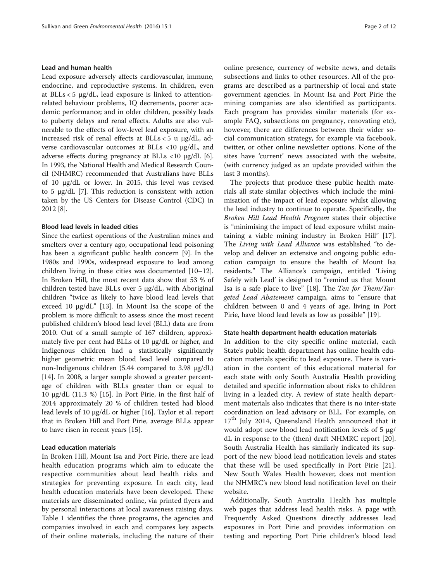#### Lead and human health

Lead exposure adversely affects cardiovascular, immune, endocrine, and reproductive systems. In children, even at  $BLLs < 5 \mu g/dL$ , lead exposure is linked to attentionrelated behaviour problems, IQ decrements, poorer academic performance; and in older children, possibly leads to puberty delays and renal effects. Adults are also vulnerable to the effects of low-level lead exposure, with an increased risk of renal effects at  $BLLs < 5$  u  $\mu$ g/dL, adverse cardiovascular outcomes at BLLs <10 μg/dL, and adverse effects during pregnancy at BLLs <10 μg/dL [[6](#page-9-0)]. In 1993, the National Health and Medical Research Council (NHMRC) recommended that Australians have BLLs of 10 μg/dL or lower. In 2015, this level was revised to 5 μg/dL [[7](#page-9-0)]. This reduction is consistent with action taken by the US Centers for Disease Control (CDC) in 2012 [[8\]](#page-9-0).

#### Blood lead levels in leaded cities

Since the earliest operations of the Australian mines and smelters over a century ago, occupational lead poisoning has been a significant public health concern [[9\]](#page-9-0). In the 1980s and 1990s, widespread exposure to lead among children living in these cities was documented [[10](#page-9-0)–[12](#page-9-0)]. In Broken Hill, the most recent data show that 53 % of children tested have BLLs over 5 μg/dL, with Aboriginal children "twice as likely to have blood lead levels that exceed 10 μg/dL" [[13\]](#page-9-0). In Mount Isa the scope of the problem is more difficult to assess since the most recent published children's blood lead level (BLL) data are from 2010. Out of a small sample of 167 children, approximately five per cent had BLLs of 10 μg/dL or higher, and Indigenous children had a statistically significantly higher geometric mean blood lead level compared to non-Indigenous children (5.44 compared to 3.98 μg/dL) [[14\]](#page-9-0). In 2008, a larger sample showed a greater percentage of children with BLLs greater than or equal to 10 μg/dL (11.3 %) [[15\]](#page-10-0). In Port Pirie, in the first half of 2014 approximately 20 % of children tested had blood lead levels of 10 μg/dL or higher [\[16\]](#page-10-0). Taylor et al. report that in Broken Hill and Port Pirie, average BLLs appear to have risen in recent years [\[15](#page-10-0)].

#### Lead education materials

In Broken Hill, Mount Isa and Port Pirie, there are lead health education programs which aim to educate the respective communities about lead health risks and strategies for preventing exposure. In each city, lead health education materials have been developed. These materials are disseminated online, via printed flyers and by personal interactions at local awareness raising days. Table [1](#page-2-0) identifies the three programs, the agencies and companies involved in each and compares key aspects of their online materials, including the nature of their online presence, currency of website news, and details subsections and links to other resources. All of the programs are described as a partnership of local and state government agencies. In Mount Isa and Port Pirie the mining companies are also identified as participants. Each program has provides similar materials (for example FAQ, subsections on pregnancy, renovating etc), however, there are differences between their wider social communication strategy, for example via facebook, twitter, or other online newsletter options. None of the sites have 'current' news associated with the website, (with currency judged as an update provided within the last 3 months).

The projects that produce these public health materials all state similar objectives which include the minimisation of the impact of lead exposure whilst allowing the lead industry to continue to operate. Specifically, the Broken Hill Lead Health Program states their objective is "minimising the impact of lead exposure whilst maintaining a viable mining industry in Broken Hill" [\[17](#page-10-0)]. The Living with Lead Alliance was established "to develop and deliver an extensive and ongoing public education campaign to ensure the health of Mount Isa residents." The Alliance's campaign, entitled 'Living Safely with Lead' is designed to "remind us that Mount Isa is a safe place to live" [\[18](#page-10-0)]. The Ten for Them/Targeted Lead Abatement campaign, aims to "ensure that children between 0 and 4 years of age, living in Port Pirie, have blood lead levels as low as possible" [[19\]](#page-10-0).

#### State health department health education materials

In addition to the city specific online material, each State's public health department has online health education materials specific to lead exposure. There is variation in the content of this educational material for each state with only South Australia Health providing detailed and specific information about risks to children living in a leaded city. A review of state health department materials also indicates that there is no inter-state coordination on lead advisory or BLL. For example, on  $17<sup>th</sup>$  July 2014, Queensland Health announced that it would adopt new blood lead notification levels of 5 μg/ dL in response to the (then) draft NHMRC report [\[20](#page-10-0)]. South Australia Health has similarly indicated its support of the new blood lead notification levels and states that these will be used specifically in Port Pirie [\[21](#page-10-0)]. New South Wales Health however, does not mention the NHMRC's new blood lead notification level on their website.

Additionally, South Australia Health has multiple web pages that address lead health risks. A page with Frequently Asked Questions directly addresses lead exposures in Port Pirie and provides information on testing and reporting Port Pirie children's blood lead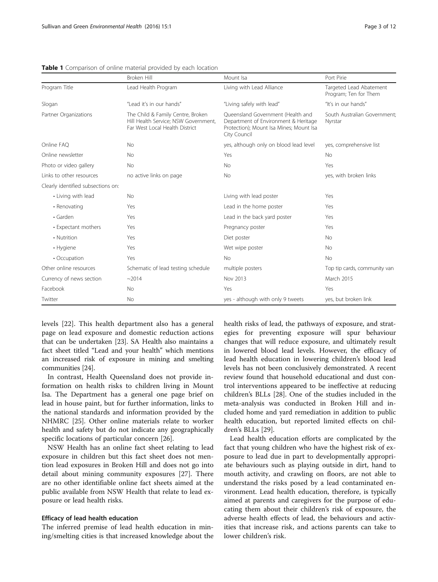|                                    | Broken Hill                                                                                                 | Mount Isa                                                                                                                            | Port Pirie                                       |
|------------------------------------|-------------------------------------------------------------------------------------------------------------|--------------------------------------------------------------------------------------------------------------------------------------|--------------------------------------------------|
| Program Title                      | Lead Health Program                                                                                         | Living with Lead Alliance                                                                                                            | Targeted Lead Abatement<br>Program; Ten for Them |
| Slogan                             | "Lead it's in our hands"                                                                                    | "Living safely with lead"                                                                                                            | "It's in our hands"                              |
| Partner Organizations              | The Child & Family Centre, Broken<br>Hill Health Service; NSW Government,<br>Far West Local Health District | Oueensland Government (Health and<br>Department of Environment & Heritage<br>Protection); Mount Isa Mines; Mount Isa<br>City Council | South Australian Government:<br>Nyrstar          |
| Online FAQ                         | <b>No</b>                                                                                                   | yes, although only on blood lead level                                                                                               | yes, comprehensive list                          |
| Online newsletter                  | <b>No</b>                                                                                                   | Yes                                                                                                                                  | <b>No</b>                                        |
| Photo or video gallery             | No                                                                                                          | <b>No</b>                                                                                                                            | Yes                                              |
| Links to other resources           | no active links on page                                                                                     | <b>No</b>                                                                                                                            | yes, with broken links                           |
| Clearly identified subsections on: |                                                                                                             |                                                                                                                                      |                                                  |
| • Living with lead                 | <b>No</b>                                                                                                   | Living with lead poster                                                                                                              | Yes                                              |
| • Renovating                       | Yes                                                                                                         | Lead in the home poster                                                                                                              | Yes                                              |
| $\cdot$ Garden                     | Yes                                                                                                         | Lead in the back yard poster                                                                                                         | Yes                                              |
| • Expectant mothers                | Yes                                                                                                         | Pregnancy poster                                                                                                                     | Yes                                              |
| • Nutrition                        | Yes                                                                                                         | Diet poster                                                                                                                          | <b>No</b>                                        |
| • Hygiene                          | Yes                                                                                                         | Wet wipe poster                                                                                                                      | <b>No</b>                                        |
| • Occupation                       | Yes                                                                                                         | <b>No</b>                                                                                                                            | <b>No</b>                                        |
| Other online resources             | Schematic of lead testing schedule                                                                          | multiple posters                                                                                                                     | Top tip cards, community van                     |
| Currency of news section           | ~2014                                                                                                       | Nov 2013                                                                                                                             | March 2015                                       |
| Facebook                           | <b>No</b>                                                                                                   | Yes                                                                                                                                  | Yes                                              |
| Twitter                            | No                                                                                                          | yes - although with only 9 tweets                                                                                                    | yes, but broken link                             |

<span id="page-2-0"></span>Table 1 Comparison of online material provided by each location

levels [\[22](#page-10-0)]. This health department also has a general page on lead exposure and domestic reduction actions that can be undertaken [\[23\]](#page-10-0). SA Health also maintains a fact sheet titled "Lead and your health" which mentions an increased risk of exposure in mining and smelting communities [[24](#page-10-0)].

In contrast, Health Queensland does not provide information on health risks to children living in Mount Isa. The Department has a general one page brief on lead in house paint, but for further information, links to the national standards and information provided by the NHMRC [\[25](#page-10-0)]. Other online materials relate to worker health and safety but do not indicate any geographically specific locations of particular concern [\[26](#page-10-0)].

NSW Health has an online fact sheet relating to lead exposure in children but this fact sheet does not mention lead exposures in Broken Hill and does not go into detail about mining community exposures [\[27\]](#page-10-0). There are no other identifiable online fact sheets aimed at the public available from NSW Health that relate to lead exposure or lead health risks.

#### Efficacy of lead health education

The inferred premise of lead health education in mining/smelting cities is that increased knowledge about the health risks of lead, the pathways of exposure, and strategies for preventing exposure will spur behaviour changes that will reduce exposure, and ultimately result in lowered blood lead levels. However, the efficacy of lead health education in lowering children's blood lead levels has not been conclusively demonstrated. A recent review found that household educational and dust control interventions appeared to be ineffective at reducing children's BLLs [[28\]](#page-10-0). One of the studies included in the meta-analysis was conducted in Broken Hill and included home and yard remediation in addition to public health education, but reported limited effects on children's BLLs [\[29](#page-10-0)].

Lead health education efforts are complicated by the fact that young children who have the highest risk of exposure to lead due in part to developmentally appropriate behaviours such as playing outside in dirt, hand to mouth activity, and crawling on floors, are not able to understand the risks posed by a lead contaminated environment. Lead health education, therefore, is typically aimed at parents and caregivers for the purpose of educating them about their children's risk of exposure, the adverse health effects of lead, the behaviours and activities that increase risk, and actions parents can take to lower children's risk.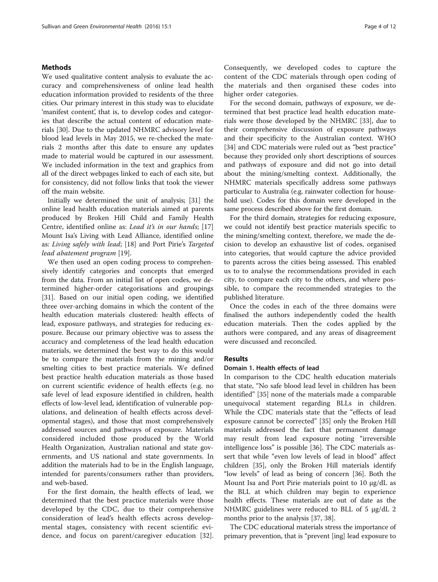#### Methods

We used qualitative content analysis to evaluate the accuracy and comprehensiveness of online lead health education information provided to residents of the three cities. Our primary interest in this study was to elucidate 'manifest content', that is, to develop codes and categories that describe the actual content of education materials [[30\]](#page-10-0). Due to the updated NHMRC advisory level for blood lead levels in May 2015, we re-checked the materials 2 months after this date to ensure any updates made to material would be captured in our assessment. We included information in the text and graphics from all of the direct webpages linked to each of each site, but for consistency, did not follow links that took the viewer off the main website.

Initially we determined the unit of analysis; [[31\]](#page-10-0) the online lead health education materials aimed at parents produced by Broken Hill Child and Family Health Centre, identified online as: Lead it's in our hands; [[17](#page-10-0)] Mount Isa's Living with Lead Alliance, identified online as: Living safely with lead; [[18](#page-10-0)] and Port Pirie's Targeted lead abatement program [[19\]](#page-10-0).

We then used an open coding process to comprehensively identify categories and concepts that emerged from the data. From an initial list of open codes, we determined higher-order categorisations and groupings [[31\]](#page-10-0). Based on our initial open coding, we identified three over-arching domains in which the content of the health education materials clustered: health effects of lead, exposure pathways, and strategies for reducing exposure. Because our primary objective was to assess the accuracy and completeness of the lead health education materials, we determined the best way to do this would be to compare the materials from the mining and/or smelting cities to best practice materials. We defined best practice health education materials as those based on current scientific evidence of health effects (e.g. no safe level of lead exposure identified in children, health effects of low-level lead, identification of vulnerable populations, and delineation of health effects across developmental stages), and those that most comprehensively addressed sources and pathways of exposure. Materials considered included those produced by the World Health Organization, Australian national and state governments, and US national and state governments. In addition the materials had to be in the English language, intended for parents/consumers rather than providers, and web-based.

For the first domain, the health effects of lead, we determined that the best practice materials were those developed by the CDC, due to their comprehensive consideration of lead's health effects across developmental stages, consistency with recent scientific evidence, and focus on parent/caregiver education [\[32](#page-10-0)].

Consequently, we developed codes to capture the content of the CDC materials through open coding of the materials and then organised these codes into higher order categories.

For the second domain, pathways of exposure, we determined that best practice lead health education materials were those developed by the NHMRC [[33\]](#page-10-0), due to their comprehensive discussion of exposure pathways and their specificity to the Australian context. WHO [[34\]](#page-10-0) and CDC materials were ruled out as "best practice" because they provided only short descriptions of sources and pathways of exposure and did not go into detail about the mining/smelting context. Additionally, the NHMRC materials specifically address some pathways particular to Australia (e.g. rainwater collection for household use). Codes for this domain were developed in the same process described above for the first domain.

For the third domain, strategies for reducing exposure, we could not identify best practice materials specific to the mining/smelting context, therefore, we made the decision to develop an exhaustive list of codes, organised into categories, that would capture the advice provided to parents across the cities being assessed. This enabled us to to analyse the recommendations provided in each city, to compare each city to the others, and where possible, to compare the recommended strategies to the published literature.

Once the codes in each of the three domains were finalised the authors independently coded the health education materials. Then the codes applied by the authors were compared, and any areas of disagreement were discussed and reconciled.

#### Results

#### Domain 1. Health effects of lead

In comparison to the CDC health education materials that state, "No safe blood lead level in children has been identified" [[35\]](#page-10-0) none of the materials made a comparable unequivocal statement regarding BLLs in children. While the CDC materials state that the "effects of lead exposure cannot be corrected" [\[35](#page-10-0)] only the Broken Hill materials addressed the fact that permanent damage may result from lead exposure noting "irreversible intelligence loss" is possible [[36\]](#page-10-0). The CDC materials assert that while "even low levels of lead in blood" affect children [\[35\]](#page-10-0), only the Broken Hill materials identify "low levels" of lead as being of concern [\[36](#page-10-0)]. Both the Mount Isa and Port Pirie materials point to 10 μg/dL as the BLL at which children may begin to experience health effects. These materials are out of date as the NHMRC guidelines were reduced to BLL of 5 μg/dL 2 months prior to the analysis [\[37](#page-10-0), [38\]](#page-10-0).

The CDC educational materials stress the importance of primary prevention, that is "prevent [ing] lead exposure to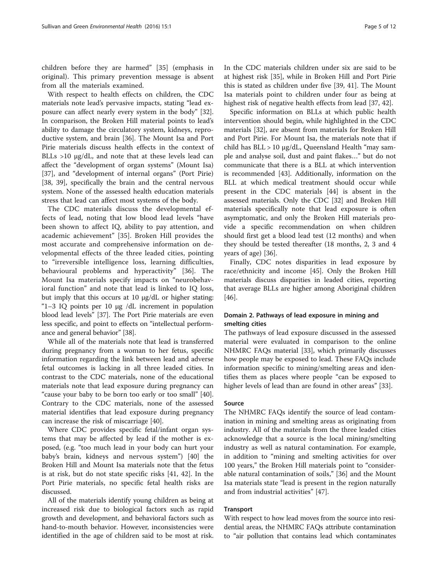children before they are harmed" [[35\]](#page-10-0) (emphasis in original). This primary prevention message is absent from all the materials examined.

With respect to health effects on children, the CDC materials note lead's pervasive impacts, stating "lead exposure can affect nearly every system in the body" [\[32](#page-10-0)]. In comparison, the Broken Hill material points to lead's ability to damage the circulatory system, kidneys, reproductive system, and brain [[36](#page-10-0)]. The Mount Isa and Port Pirie materials discuss health effects in the context of BLLs >10 μg/dL, and note that at these levels lead can affect the "development of organ systems" (Mount Isa) [[37\]](#page-10-0), and "development of internal organs" (Port Pirie) [[38, 39](#page-10-0)], specifically the brain and the central nervous system. None of the assessed health education materials stress that lead can affect most systems of the body.

The CDC materials discuss the developmental effects of lead, noting that low blood lead levels "have been shown to affect IQ, ability to pay attention, and academic achievement" [\[35](#page-10-0)]. Broken Hill provides the most accurate and comprehensive information on developmental effects of the three leaded cities, pointing to "irreversible intelligence loss, learning difficulties, behavioural problems and hyperactivity" [[36\]](#page-10-0). The Mount Isa materials specify impacts on "neurobehavioral function" and note that lead is linked to IQ loss, but imply that this occurs at 10 μg/dL or higher stating: "1–3 IQ points per 10 μg /dL increment in population blood lead levels" [\[37\]](#page-10-0). The Port Pirie materials are even less specific, and point to effects on "intellectual performance and general behavior" [\[38\]](#page-10-0).

While all of the materials note that lead is transferred during pregnancy from a woman to her fetus, specific information regarding the link between lead and adverse fetal outcomes is lacking in all three leaded cities. In contrast to the CDC materials, none of the educational materials note that lead exposure during pregnancy can "cause your baby to be born too early or too small" [\[40](#page-10-0)]. Contrary to the CDC materials, none of the assessed material identifies that lead exposure during pregnancy can increase the risk of miscarriage [\[40](#page-10-0)].

Where CDC provides specific fetal/infant organ systems that may be affected by lead if the mother is exposed, (e.g. "too much lead in your body can hurt your baby's brain, kidneys and nervous system") [\[40](#page-10-0)] the Broken Hill and Mount Isa materials note that the fetus is at risk, but do not state specific risks [[41](#page-10-0), [42](#page-10-0)]. In the Port Pirie materials, no specific fetal health risks are discussed.

All of the materials identify young children as being at increased risk due to biological factors such as rapid growth and development, and behavioral factors such as hand-to-mouth behavior. However, inconsistencies were identified in the age of children said to be most at risk.

In the CDC materials children under six are said to be at highest risk [\[35](#page-10-0)], while in Broken Hill and Port Pirie this is stated as children under five [\[39, 41](#page-10-0)]. The Mount Isa materials point to children under four as being at highest risk of negative health effects from lead [[37, 42](#page-10-0)].

Specific information on BLLs at which public health intervention should begin, while highlighted in the CDC materials [\[32](#page-10-0)], are absent from materials for Broken Hill and Port Pirie. For Mount Isa, the materials note that if child has BLL > 10 μg/dL, Queensland Health "may sample and analyse soil, dust and paint flakes…" but do not communicate that there is a BLL at which intervention is recommended [[43\]](#page-10-0). Additionally, information on the BLL at which medical treatment should occur while present in the CDC materials [\[44](#page-10-0)] is absent in the assessed materials. Only the CDC [\[32\]](#page-10-0) and Broken Hill materials specifically note that lead exposure is often asymptomatic, and only the Broken Hill materials provide a specific recommendation on when children should first get a blood lead test (12 months) and when they should be tested thereafter (18 months, 2, 3 and 4 years of age) [\[36\]](#page-10-0).

Finally, CDC notes disparities in lead exposure by race/ethnicity and income [[45\]](#page-10-0). Only the Broken Hill materials discuss disparities in leaded cities, reporting that average BLLs are higher among Aboriginal children [[46\]](#page-10-0).

#### Domain 2. Pathways of lead exposure in mining and smelting cities

The pathways of lead exposure discussed in the assessed material were evaluated in comparison to the online NHMRC FAQs material [[33\]](#page-10-0), which primarily discusses how people may be exposed to lead. These FAQs include information specific to mining/smelting areas and identifies them as places where people "can be exposed to higher levels of lead than are found in other areas" [[33\]](#page-10-0).

#### Source

The NHMRC FAQs identify the source of lead contamination in mining and smelting areas as originating from industry. All of the materials from the three leaded cities acknowledge that a source is the local mining/smelting industry as well as natural contamination. For example, in addition to "mining and smelting activities for over 100 years," the Broken Hill materials point to "considerable natural contamination of soils," [\[36\]](#page-10-0) and the Mount Isa materials state "lead is present in the region naturally and from industrial activities" [\[47](#page-10-0)].

#### **Transport**

With respect to how lead moves from the source into residential areas, the NHMRC FAQs attribute contamination to "air pollution that contains lead which contaminates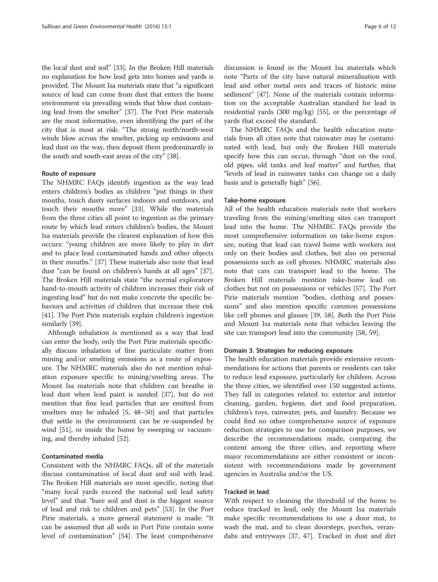the local dust and soil" [\[33\]](#page-10-0). In the Broken Hill materials no explanation for how lead gets into homes and yards is provided. The Mount Isa materials state that "a significant source of lead can come from dust that enters the home environment via prevailing winds that blow dust containing lead from the smelter" [[37](#page-10-0)]. The Port Pirie materials are the most informative, even identifying the part of the city that is most at risk: "The strong north/north-west winds blow across the smelter, picking up emissions and lead dust on the way, then deposit them predominantly in the south and south-east areas of the city" [\[38\]](#page-10-0).

#### Route of exposure

The NHMRC FAQs identify ingestion as the way lead enters children's bodies as children "put things in their mouths, touch dusty surfaces indoors and outdoors, and touch their mouths more" [\[33](#page-10-0)]. While the materials from the three cities all point to ingestion as the primary route by which lead enters children's bodies, the Mount Isa materials provide the clearest explanation of how this occurs: "young children are more likely to play in dirt and to place lead contaminated hands and other objects in their mouths." [\[37](#page-10-0)] These materials also note that lead dust "can be found on children's hands at all ages" [\[37](#page-10-0)]. The Broken Hill materials state "the normal exploratory hand-to-mouth activity of children increases their risk of ingesting lead" but do not make concrete the specific behaviors and activities of children that increase their risk [[41\]](#page-10-0). The Port Pirie materials explain children's ingestion similarly [\[39](#page-10-0)].

Although inhalation is mentioned as a way that lead can enter the body, only the Port Pirie materials specifically discuss inhalation of fine particulate matter from mining and/or smelting emissions as a route of exposure. The NHMRC materials also do not mention inhalation exposure specific to mining/smelting areas. The Mount Isa materials note that children can breathe in lead dust when lead paint is sanded [[37\]](#page-10-0), but do not mention that fine lead particles that are emitted from smelters may be inhaled [[5,](#page-9-0) [48](#page-10-0)–[50](#page-10-0)] and that particles that settle in the environment can be re-suspended by wind [[51\]](#page-10-0), or inside the home by sweeping or vacuuming, and thereby inhaled [\[52\]](#page-10-0).

#### Contaminated media

Consistent with the NHMRC FAQs, all of the materials discuss contamination of local dust and soil with lead. The Broken Hill materials are most specific, noting that "many local yards exceed the national soil lead safety level" and that "bare soil and dust is the biggest source of lead and risk to children and pets" [\[53\]](#page-10-0). In the Port Pirie materials, a more general statement is made: "It can be assumed that all soils in Port Pirie contain some level of contamination" [\[54](#page-11-0)]. The least comprehensive

discussion is found in the Mount Isa materials which note "Parts of the city have natural mineralisation with lead and other metal ores and traces of historic mine sediment" [[47](#page-10-0)]. None of the materials contain information on the acceptable Australian standard for lead in residential yards (300 mg/kg) [\[55\]](#page-11-0), or the percentage of yards that exceed the standard.

The NHMRC FAQs and the health education materials from all cities note that rainwater may be contaminated with lead, but only the Broken Hill materials specify how this can occur, through "dust on the roof, old pipes, old tanks and leaf matter" and further, that "levels of lead in rainwater tanks can change on a daily basis and is generally high" [[56](#page-11-0)].

#### Take-home exposure

All of the health education materials note that workers traveling from the mining/smelting sites can transport lead into the home. The NHMRC FAQs provide the most comprehensive information on take-home exposure, noting that lead can travel home with workers not only on their bodies and clothes, but also on personal possessions such as cell phones. NHMRC materials also note that cars can transport lead to the home. The Broken Hill materials mention take-home lead on clothes but not on possessions or vehicles [[57](#page-11-0)]. The Port Pirie materials mention "bodies, clothing and possessions" and also mention specific common possessions like cell phones and glasses [[39](#page-10-0), [58\]](#page-11-0). Both the Port Pirie and Mount Isa materials note that vehicles leaving the site can transport lead into the community [[58, 59\]](#page-11-0).

#### Domain 3. Strategies for reducing exposure

The health education materials provide extensive recommendations for actions that parents or residents can take to reduce lead exposure, particularly for children. Across the three cities, we identified over 150 suggested actions. They fall in categories related to: exterior and interior cleaning, garden, hygiene, diet and food preparation, children's toys, rainwater, pets, and laundry. Because we could find no other comprehensive source of exposure reduction strategies to use for comparison purposes, we describe the recommendations made, comparing the content among the three cities, and reporting where major recommendations are either consistent or inconsistent with recommendations made by government agencies in Australia and/or the US.

#### Tracked in lead

With respect to cleaning the threshold of the home to reduce tracked in lead, only the Mount Isa materials make specific recommendations to use a door mat, to wash the mat, and to clean doorsteps, porches, verandahs and entryways [[37, 47](#page-10-0)]. Tracked in dust and dirt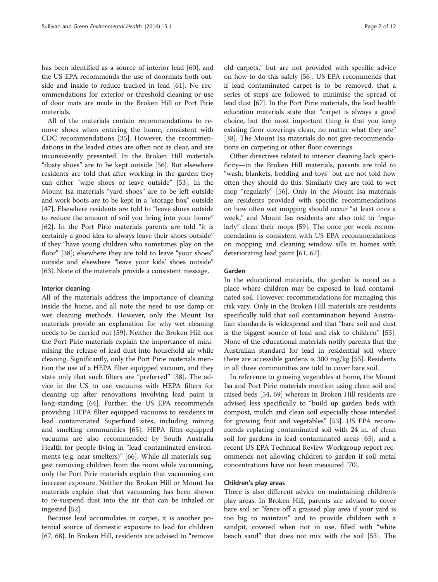has been identified as a source of interior lead [[60\]](#page-11-0), and the US EPA recommends the use of doormats both outside and inside to reduce tracked in lead [\[61](#page-11-0)]. No recommendations for exterior or threshold cleaning or use of door mats are made in the Broken Hill or Port Pirie materials.

All of the materials contain recommendations to remove shoes when entering the home, consistent with CDC recommendations [\[35](#page-10-0)]. However, the recommendations in the leaded cities are often not as clear, and are inconsistently presented. In the Broken Hill materials "dusty shoes" are to be kept outside [\[56\]](#page-11-0). But elsewhere residents are told that after working in the garden they can either "wipe shoes or leave outside" [[53\]](#page-10-0). In the Mount Isa materials "yard shoes" are to be left outside and work boots are to be kept in a "storage box" outside [[47\]](#page-10-0). Elsewhere residents are told to "leave shoes outside to reduce the amount of soil you bring into your home" [[62\]](#page-11-0). In the Port Pirie materials parents are told "it is certainly a good idea to always leave their shoes outside" if they "have young children who sometimes play on the floor" [\[38\]](#page-10-0); elsewhere they are told to leave "your shoes" outside and elsewhere "leave your kids' shoes outside" [[63](#page-11-0)]. None of the materials provide a consistent message.

#### Interior cleaning

All of the materials address the importance of cleaning inside the home, and all note the need to use damp or wet cleaning methods. However, only the Mount Isa materials provide an explanation for why wet cleaning needs to be carried out [[59\]](#page-11-0). Neither the Broken Hill nor the Port Pirie materials explain the importance of minimising the release of lead dust into household air while cleaning. Significantly, only the Port Pirie materials mention the use of a HEPA filter equipped vacuum, and they state only that such filters are "preferred" [\[38](#page-10-0)]. The advice in the US to use vacuums with HEPA filters for cleaning up after renovations involving lead paint is long-standing [\[64](#page-11-0)]. Further, the US EPA recommends providing HEPA filter equipped vacuums to residents in lead contaminated Superfund sites, including mining and smelting communities [\[65](#page-11-0)]. HEPA filter-equipped vacuums are also recommended by South Australia Health for people living in "lead contaminated environments (e.g. near smelters)" [\[66](#page-11-0)]. While all materials suggest removing children from the room while vacuuming, only the Port Pirie materials explain that vacuuming can increase exposure. Neither the Broken Hill or Mount Isa materials explain that that vacuuming has been shown to re-suspend dust into the air that can be inhaled or ingested [\[52](#page-10-0)].

Because lead accumulates in carpet, it is another potential source of domestic exposure to lead for children [[67, 68\]](#page-11-0). In Broken Hill, residents are advised to "remove old carpets," but are not provided with specific advice on how to do this safely [[56](#page-11-0)]. US EPA recommends that if lead contaminated carpet is to be removed, that a series of steps are followed to minimise the spread of lead dust [[67\]](#page-11-0). In the Port Pirie materials, the lead health education materials state that "carpet is always a good choice, but the most important thing is that you keep existing floor coverings clean, no matter what they are" [[38\]](#page-10-0). The Mount Isa materials do not give recommendations on carpeting or other floor coverings.

Other directives related to interior cleaning lack specificity—in the Broken Hill materials, parents are told to "wash, blankets, bedding and toys" but are not told how often they should do this. Similarly they are told to wet mop "regularly" [\[56](#page-11-0)]. Only in the Mount Isa materials are residents provided with specific recommendations on how often wet mopping should occur "at least once a week," and Mount Isa residents are also told to "regularly" clean their mops [\[59](#page-11-0)]. The once per week recommendation is consistent with US EPA recommendations on mopping and cleaning window sills in homes with deteriorating lead paint [\[61](#page-11-0), [67](#page-11-0)].

#### Garden

In the educational materials, the garden is noted as a place where children may be exposed to lead contaminated soil. However, recommendations for managing this risk vary. Only in the Broken Hill materials are residents specifically told that soil contamination beyond Australian standards is widespread and that "bare soil and dust is the biggest source of lead and risk to children" [\[53](#page-10-0)]. None of the educational materials notify parents that the Australian standard for lead in residential soil where there are accessible gardens is 300 mg/kg [\[55](#page-11-0)]. Residents in all three communities are told to cover bare soil.

In reference to growing vegetables at home, the Mount Isa and Port Pirie materials mention using clean soil and raised beds [[54, 69\]](#page-11-0) whereas in Broken Hill residents are advised less specifically to "build up garden beds with compost, mulch and clean soil especially those intended for growing fruit and vegetables" [[53](#page-10-0)]. US EPA recommends replacing contaminated soil with 24 in. of clean soil for gardens in lead contaminated areas [[65](#page-11-0)], and a recent US EPA Technical Review Workgroup report recommends not allowing children to garden if soil metal concentrations have not been measured [[70\]](#page-11-0).

#### Children's play areas

There is also different advice on maintaining children's play areas. In Broken Hill, parents are advised to cover bare soil or "fence off a grassed play area if your yard is too big to maintain" and to provide children with a sandpit, covered when not in use, filled with "white beach sand" that does not mix with the soil [[53\]](#page-10-0). The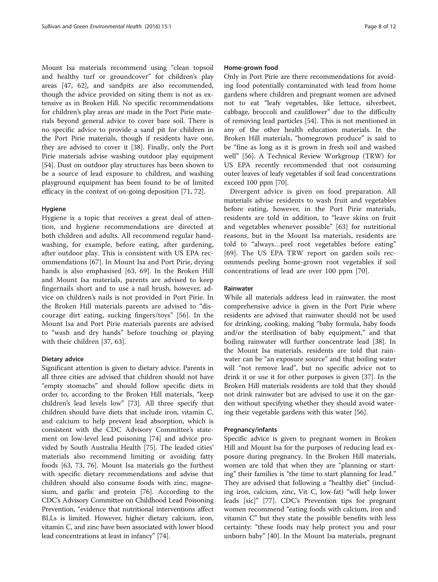Mount Isa materials recommend using "clean topsoil and healthy turf or groundcover" for children's play areas [\[47,](#page-10-0) [62](#page-11-0)], and sandpits are also recommended, though the advice provided on siting them is not as extensive as in Broken Hill. No specific recommendations for children's play areas are made in the Port Pirie materials beyond general advice to cover bare soil. There is no specific advice to provide a sand pit for children in the Port Pirie materials, though if residents have one, they are advised to cover it [\[38](#page-10-0)]. Finally, only the Port Pirie materials advise washing outdoor play equipment [[54\]](#page-11-0). Dust on outdoor play structures has been shown to be a source of lead exposure to children, and washing playground equipment has been found to be of limited efficacy in the context of on-going deposition [\[71](#page-11-0), [72\]](#page-11-0).

#### Hygiene

Hygiene is a topic that receives a great deal of attention, and hygiene recommendations are directed at both children and adults. All recommend regular handwashing, for example, before eating, after gardening, after outdoor play. This is consistent with US EPA recommendations [[67\]](#page-11-0). In Mount Isa and Port Pirie, drying hands is also emphasised [\[63](#page-11-0), [69\]](#page-11-0). In the Broken Hill and Mount Isa materials, parents are advised to keep fingernails short and to use a nail brush, however, advice on children's nails is not provided in Port Pirie. In the Broken Hill materials parents are advised to "discourage dirt eating, sucking fingers/toys" [\[56](#page-11-0)]. In the Mount Isa and Port Pirie materials parents are advised to "wash and dry hands" before touching or playing with their children [[37,](#page-10-0) [63\]](#page-11-0).

#### Dietary advice

Significant attention is given to dietary advice. Parents in all three cities are advised that children should not have "empty stomachs" and should follow specific diets in order to, according to the Broken Hill materials, "keep children's lead levels low" [\[73\]](#page-11-0). All three specify that children should have diets that include iron, vitamin C, and calcium to help prevent lead absorption, which is consistent with the CDC Advisory Committee's statement on low-level lead poisoning [\[74](#page-11-0)] and advice provided by South Australia Health [[75\]](#page-11-0). The leaded cities' materials also recommend limiting or avoiding fatty foods [\[63](#page-11-0), [73](#page-11-0), [76\]](#page-11-0). Mount Isa materials go the furthest with specific dietary recommendations and advise that children should also consume foods with zinc, magnesium, and garlic and protein [[76\]](#page-11-0). According to the CDC's Advisory Committee on Childhood Lead Poisoning Prevention, "evidence that nutritional interventions affect BLLs is limited. However, higher dietary calcium, iron, vitamin C, and zinc have been associated with lower blood lead concentrations at least in infancy" [\[74](#page-11-0)].

#### Home-grown food

Only in Port Pirie are there recommendations for avoiding food potentially contaminated with lead from home gardens where children and pregnant women are advised not to eat "leafy vegetables, like lettuce, silverbeet, cabbage, broccoli and cauliflower" due to the difficulty of removing lead particles [[54\]](#page-11-0). This is not mentioned in any of the other health education materials. In the Broken Hill materials, "homegrown produce" is said to be "fine as long as it is grown in fresh soil and washed well" [\[56](#page-11-0)]. A Technical Review Workgroup (TRW) for US EPA recently recommended that not consuming outer leaves of leafy vegetables if soil lead concentrations exceed 100 ppm [[70](#page-11-0)].

Divergent advice is given on food preparation. All materials advise residents to wash fruit and vegetables before eating, however, in the Port Pirie materials, residents are told in addition, to "leave skins on fruit and vegetables whenever possible" [\[63](#page-11-0)] for nutritional reasons, but in the Mount Isa materials, residents are told to "always…peel root vegetables before eating" [[69\]](#page-11-0). The US EPA TRW report on garden soils recommends peeling home-grown root vegetables if soil concentrations of lead are over 100 ppm [[70\]](#page-11-0).

#### Rainwater

While all materials address lead in rainwater, the most comprehensive advice is given in the Port Pirie where residents are advised that rainwater should not be used for drinking, cooking, making "baby formula, baby foods and/or the sterilisation of baby equipment," and that boiling rainwater will further concentrate lead [\[38\]](#page-10-0). In the Mount Isa materials, residents are told that rainwater can be "an exposure source" and that boiling water will "not remove lead", but no specific advice not to drink it or use it for other purposes is given [\[37\]](#page-10-0). In the Broken Hill materials residents are told that they should not drink rainwater but are advised to use it on the garden without specifying whether they should avoid watering their vegetable gardens with this water [\[56\]](#page-11-0).

#### Pregnancy/infants

Specific advice is given to pregnant women in Broken Hill and Mount Isa for the purposes of reducing lead exposure during pregnancy. In the Broken Hill materials, women are told that when they are "planning or starting" their families is "the time to start planning for lead." They are advised that following a "healthy diet" (including iron, calcium, zinc, Vit C, low-fat) "will help lower leads [sic]" [[77\]](#page-11-0). CDC's Prevention tips for pregnant women recommend "eating foods with calcium, iron and vitamin C" but they state the possible benefits with less certainty: "these foods may help protect you and your unborn baby" [\[40\]](#page-10-0). In the Mount Isa materials, pregnant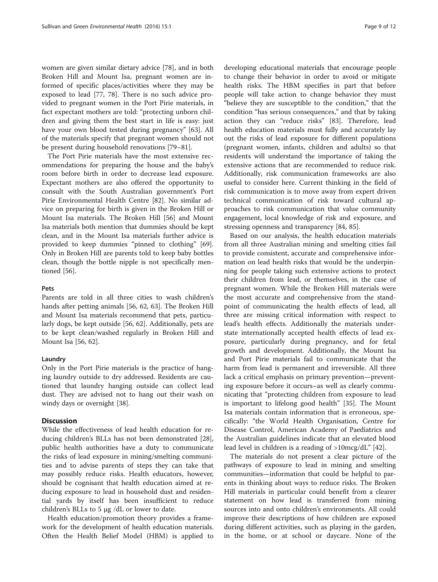women are given similar dietary advice [\[78\]](#page-11-0), and in both Broken Hill and Mount Isa, pregnant women are informed of specific places/activities where they may be exposed to lead [[77](#page-11-0), [78\]](#page-11-0). There is no such advice provided to pregnant women in the Port Pirie materials, in fact expectant mothers are told: "protecting unborn children and giving them the best start in life is easy: just have your own blood tested during pregnancy" [[63\]](#page-11-0). All of the materials specify that pregnant women should not be present during household renovations [[79](#page-11-0)–[81](#page-11-0)].

The Port Pirie materials have the most extensive recommendations for preparing the house and the baby's room before birth in order to decrease lead exposure. Expectant mothers are also offered the opportunity to consult with the South Australian government's Port Pirie Environmental Health Centre [[82\]](#page-11-0). No similar advice on preparing for birth is given in the Broken Hill or Mount Isa materials. The Broken Hill [[56\]](#page-11-0) and Mount Isa materials both mention that dummies should be kept clean, and in the Mount Isa materials further advice is provided to keep dummies "pinned to clothing" [\[69](#page-11-0)]. Only in Broken Hill are parents told to keep baby bottles clean, though the bottle nipple is not specifically mentioned [[56](#page-11-0)].

#### Pets

Parents are told in all three cities to wash children's hands after petting animals [[56, 62, 63](#page-11-0)]. The Broken Hill and Mount Isa materials recommend that pets, particularly dogs, be kept outside [\[56](#page-11-0), [62\]](#page-11-0). Additionally, pets are to be kept clean/washed regularly in Broken Hill and Mount Isa [\[56](#page-11-0), [62](#page-11-0)].

#### Laundry

Only in the Port Pirie materials is the practice of hanging laundry outside to dry addressed. Residents are cautioned that laundry hanging outside can collect lead dust. They are advised not to hang out their wash on windy days or overnight [[38](#page-10-0)].

#### **Discussion**

While the effectiveness of lead health education for reducing children's BLLs has not been demonstrated [\[28](#page-10-0)], public health authorities have a duty to communicate the risks of lead exposure in mining/smelting communities and to advise parents of steps they can take that may possibly reduce risks. Health educators, however, should be cognisant that health education aimed at reducing exposure to lead in household dust and residential yards by itself has been insufficient to reduce children's BLLs to 5 μg /dL or lower to date.

Health education/promotion theory provides a framework for the development of health education materials. Often the Health Belief Model (HBM) is applied to developing educational materials that encourage people to change their behavior in order to avoid or mitigate health risks. The HBM specifies in part that before people will take action to change behavior they must "believe they are susceptible to the condition," that the condition "has serious consequences," and that by taking action they can "reduce risks" [\[83\]](#page-11-0). Therefore, lead health education materials must fully and accurately lay out the risks of lead exposure for different populations (pregnant women, infants, children and adults) so that residents will understand the importance of taking the extensive actions that are recommended to reduce risk. Additionally, risk communication frameworks are also useful to consider here. Current thinking in the field of risk communication is to move away from expert driven technical communication of risk toward cultural approaches to risk communication that value community engagement, local knowledge of risk and exposure, and stressing openness and transparency [[84, 85\]](#page-11-0).

Based on our analysis, the health education materials from all three Australian mining and smelting cities fail to provide consistent, accurate and comprehensive information on lead health risks that would be the underpinning for people taking such extensive actions to protect their children from lead, or themselves, in the case of pregnant women. While the Broken Hill materials were the most accurate and comprehensive from the standpoint of communicating the health effects of lead, all three are missing critical information with respect to lead's health effects. Additionally the materials understate internationally accepted health effects of lead exposure, particularly during pregnancy, and for fetal growth and development. Additionally, the Mount Isa and Port Pirie materials fail to communicate that the harm from lead is permanent and irreversible. All three lack a critical emphasis on primary prevention—preventing exposure before it occurs–as well as clearly communicating that "protecting children from exposure to lead is important to lifelong good health" [[35\]](#page-10-0). The Mount Isa materials contain information that is erroneous, specifically: "the World Health Organisation, Centre for Disease Control, American Academy of Paediatrics and the Australian guidelines indicate that an elevated blood lead level in children is a reading of >10mcg/dL" [\[42](#page-10-0)].

The materials do not present a clear picture of the pathways of exposure to lead in mining and smelting communities—information that could be helpful to parents in thinking about ways to reduce risks. The Broken Hill materials in particular could benefit from a clearer statement on how lead is transferred from mining sources into and onto children's environments. All could improve their descriptions of how children are exposed during different activities, such as playing in the garden, in the home, or at school or daycare. None of the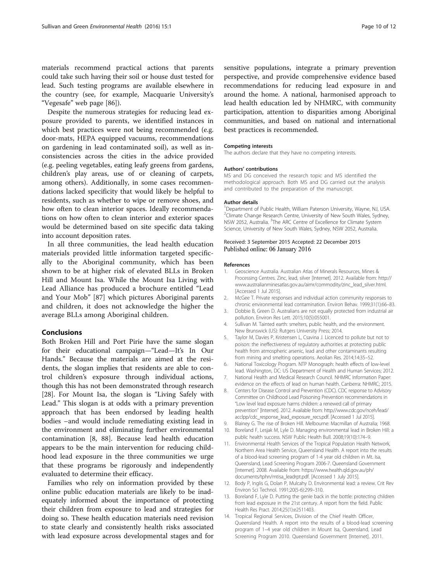<span id="page-9-0"></span>materials recommend practical actions that parents could take such having their soil or house dust tested for lead. Such testing programs are available elsewhere in the country (see, for example, Macquarie University's "Vegesafe" web page [[86](#page-11-0)]).

Despite the numerous strategies for reducing lead exposure provided to parents, we identified instances in which best practices were not being recommended (e.g. door-mats, HEPA equipped vacuums, recommendations on gardening in lead contaminated soil), as well as inconsistencies across the cities in the advice provided (e.g. peeling vegetables, eating leafy greens from gardens, children's play areas, use of or cleaning of carpets, among others). Additionally, in some cases recommendations lacked specificity that would likely be helpful to residents, such as whether to wipe or remove shoes, and how often to clean interior spaces. Ideally recommendations on how often to clean interior and exterior spaces would be determined based on site specific data taking into account deposition rates.

In all three communities, the lead health education materials provided little information targeted specifically to the Aboriginal community, which has been shown to be at higher risk of elevated BLLs in Broken Hill and Mount Isa. While the Mount Isa Living with Lead Alliance has produced a brochure entitled "Lead and Your Mob" [[87\]](#page-11-0) which pictures Aboriginal parents and children, it does not acknowledge the higher the average BLLs among Aboriginal children.

### Conclusions

Both Broken Hill and Port Pirie have the same slogan for their educational campaign—"Lead—It's In Our Hands." Because the materials are aimed at the residents, the slogan implies that residents are able to control children's exposure through individual actions, though this has not been demonstrated through research [[28\]](#page-10-0). For Mount Isa, the slogan is "Living Safely with Lead." This slogan is at odds with a primary prevention approach that has been endorsed by leading health bodies –and would include remediating existing lead in the environment and eliminating further environmental contamination [8, [88\]](#page-11-0). Because lead health education appears to be the main intervention for reducing childhood lead exposure in the three communities we urge that these programs be rigorously and independently evaluated to determine their efficacy.

Families who rely on information provided by these online public education materials are likely to be inadequately informed about the importance of protecting their children from exposure to lead and strategies for doing so. These health education materials need revision to state clearly and consistently health risks associated with lead exposure across developmental stages and for

sensitive populations, integrate a primary prevention perspective, and provide comprehensive evidence based recommendations for reducing lead exposure in and around the home. A national, harmonised approach to lead health education led by NHMRC, with community participation, attention to disparities among Aboriginal communities, and based on national and international best practices is recommended.

#### Competing interests

The authors declare that they have no competing interests.

#### Authors' contributions

MS and DG conceived the research topic and MS identified the methodological approach. Both MS and DG carried out the analysis and contributed to the preparation of the manuscript.

#### Author details

<sup>1</sup>Department of Public Health, William Paterson University, Wayne, NJ, USA <sup>2</sup> Climate Change Research Centre, University of New South Wales, Sydney NSW 2052, Australia. <sup>3</sup>The ARC Centre of Excellence for Climate System Science, University of New South Wales, Sydney, NSW 2052, Australia.

#### Received: 3 September 2015 Accepted: 22 December 2015 Published online: 06 January 2016

#### References

- 1. Geoscience Australia. Australian Atlas of Minerals Resources, Mines & Processing Centres. Zinc, lead, silver [Internet]. 2012. Available from: [http://](http://www.australianminesatlas.gov.au/aimr/commodity/zinc_lead_silver.html) [www.australianminesatlas.gov.au/aimr/commodity/zinc\\_lead\\_silver.html.](http://www.australianminesatlas.gov.au/aimr/commodity/zinc_lead_silver.html) [Accessed 1 Jul 2015].
- 2. McGee T. Private responses and individual action community responses to chronic environmental lead contamination. Environ Behav. 1999;31(1):66–83.
- 3. Dobbie B, Green D. Australians are not equally protected from industrial air pollution. Environ Res Lett. 2015;10(5):055001.
- 4. Sullivan M. Tainted earth: smelters, public health, and the environment. New Brunswick (US): Rutgers University Press; 2014.
- 5. Taylor M, Davies P, Kristensen L, Csavina J. Licenced to pollute but not to poison: the ineffectiveness of regulatory authorities at protecting public health from atmospheric arsenic, lead and other contaminants resulting from mining and smelting operations. Aeolian Res. 2014;14:35–52.
- 6. National Toxicology Program. NTP Monograph: health effects of low-level lead. Washington, DC: US Department of Health and Human Services; 2012.
- 7. National Health and Medical Research Council. NHMRC Information Paper: evidence on the effects of lead on human health. Canberra: NHMRC; 2015.
- 8. Centers for Disease Control and Prevention (CDC). CDC response to Advisory Committee on Childhood Lead Poisoning Prevention recommendations in "Low level lead exposure harms children: a renewed call of primary prevention" [Internet]. 2012. Available from: [http://www.cdc.gov/nceh/lead/](http://www.cdc.gov/nceh/lead/acclpp/cdc_response_lead_exposure_recs.pdf) [acclpp/cdc\\_response\\_lead\\_exposure\\_recs.pdf.](http://www.cdc.gov/nceh/lead/acclpp/cdc_response_lead_exposure_recs.pdf) [Accessed 1 Jul 2015].
- 9. Blainey G. The rise of Broken Hill. Melbourne: Macmillan of Australia; 1968. 10. Boreland F, Lesjak M, Lyle D. Managing environmental lead in Broken Hill: a
- public health success. NSW Public Health Bull. 2008;19(10):174–9. 11. Environmental Health Services of the Tropical Population Health Network, Northern Area Health Service, Queensland Health. A report into the results of a blood-lead screening program of 1-4 year old children in Mt. Isa, Queensland, Lead Screening Program 2006-7. Queensland Government [Internet]. 2008. Available from: [https://www.health.qld.gov.au/ph/](https://www.health.qld.gov.au/ph/documents/tphn/mtisa_leadrpt.pdf) [documents/tphn/mtisa\\_leadrpt.pdf.](https://www.health.qld.gov.au/ph/documents/tphn/mtisa_leadrpt.pdf) [Accessed 1 July 2015].
- 12. Body P, Inglis G, Dolan P, Mulcahy D. Environmental lead: a review. Crit Rev Environ Sci Technol. 1991;20(5-6):299–310.
- 13. Boreland F, Lyle D. Putting the genie back in the bottle: protecting children from lead exposure in the 21st century. A report from the field. Public Health Res Pract. 2014;25(1):e2511403.
- 14. Tropical Regional Services, Division of the Chief Health Officer, Queensland Health. A report into the results of a blood-lead screening program of 1–4 year old children in Mount Isa, Queensland, Lead Screening Program 2010. Queensland Government [Internet]. 2011.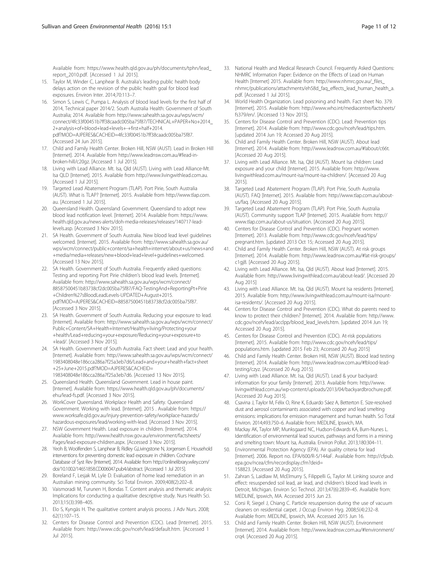<span id="page-10-0"></span>Available from: [https://www.health.qld.gov.au/ph/documents/tphn/lead\\_](https://www.health.qld.gov.au/ph/documents/tphn/lead_report_2010.pdf) [report\\_2010.pdf](https://www.health.qld.gov.au/ph/documents/tphn/lead_report_2010.pdf). [Accessed 1 Jul 2015].

- 15. Taylor M, Winder C, Lanphear B. Australia's leading public health body delays action on the revision of the public health goal for blood lead exposures. Environ Inter. 2014;70:113–7.
- 16. Simon S, Lewis C, Pumpa L. Analysis of blood lead levels for the first half of 2014, Technical paper 2014/2. South Australia Health: Government of South Australia; 2014. Available from [http://www.sahealth.sa.gov.au/wps/wcm/](http://www.sahealth.sa.gov.au/wps/wcm/connect/4fc33f00451b7ff38caadc005ba75f87/TECHNICAL+PAPER+No+2014_2+analysis+of+blood+lead+levels+-+first+half+2014.pdf?MOD=AJPERES&CACHEID=4fc33f00451b7ff38caadc005ba75f87) [connect/4fc33f00451b7ff38caadc005ba75f87/TECHNICAL+PAPER+No+2014\\_](http://www.sahealth.sa.gov.au/wps/wcm/connect/4fc33f00451b7ff38caadc005ba75f87/TECHNICAL+PAPER+No+2014_2+analysis+of+blood+lead+levels+-+first+half+2014.pdf?MOD=AJPERES&CACHEID=4fc33f00451b7ff38caadc005ba75f87) [2+analysis+of+blood+lead+levels+-+first+half+2014.](http://www.sahealth.sa.gov.au/wps/wcm/connect/4fc33f00451b7ff38caadc005ba75f87/TECHNICAL+PAPER+No+2014_2+analysis+of+blood+lead+levels+-+first+half+2014.pdf?MOD=AJPERES&CACHEID=4fc33f00451b7ff38caadc005ba75f87) [pdf?MOD=AJPERES&CACHEID=4fc33f00451b7ff38caadc005ba75f87.](http://www.sahealth.sa.gov.au/wps/wcm/connect/4fc33f00451b7ff38caadc005ba75f87/TECHNICAL+PAPER+No+2014_2+analysis+of+blood+lead+levels+-+first+half+2014.pdf?MOD=AJPERES&CACHEID=4fc33f00451b7ff38caadc005ba75f87) [Accessed 24 Jun 2015].
- 17. Child and Family Health Center. Broken Hill, NSW (AUST). Lead in Broken Hill [Internet]. 2014. Available from [http://www.leadnsw.com.au/#!lead-in](http://www.leadnsw.com.au/#!lead-in-broken-hill/c20gz)[broken-hill/c20gz.](http://www.leadnsw.com.au/#!lead-in-broken-hill/c20gz) [Accessed 1 Jul 2015].
- 18. Living with Lead Alliance. Mt. Isa, Qld (AUST). Living with Lead Alliance-Mt. Isa QLD [Internet]. 2015. Available from [http://www.livingwithlead.com.au.](http://www.livingwithlead.com.au/) [Accessed 1 Jul 2015].
- 19. Targeted Lead Abatement Program (TLAP). Port Pirie, South Australia (AUST). What is TLAP? [Internet]. 2015. Available from [http://www.tlap.com.](http://www.tlap.com.au/) [au.](http://www.tlap.com.au/) [Accessed 1 Jul 2015].
- 20. Queensland Health. Queensland Government. Queensland to adopt new blood lead notification level. [Internet]. 2014. Available from: [https://www.](https://www.health.qld.gov.au/news-alerts/doh-media-releases/releases/140717-lead-levels.asp) [health.qld.gov.au/news-alerts/doh-media-releases/releases/140717-lead](https://www.health.qld.gov.au/news-alerts/doh-media-releases/releases/140717-lead-levels.asp)[levels.asp](https://www.health.qld.gov.au/news-alerts/doh-media-releases/releases/140717-lead-levels.asp). [Accessed 3 Nov 2015].
- 21. SA Health. Government of South Australia. New blood lead level guidelines welcomed. [Internet]. 2015. Available from: [http://www.sahealth.sa.gov.au/](http://www.sahealth.sa.gov.au/wps/wcm/connect/public+content/sa+health+internet/about+us/news+and+media/media+releases/new+blood+lead+level+guidelines+welcomed) [wps/wcm/connect/public+content/sa+health+internet/about+us/news+and](http://www.sahealth.sa.gov.au/wps/wcm/connect/public+content/sa+health+internet/about+us/news+and+media/media+releases/new+blood+lead+level+guidelines+welcomed) [+media/media+releases/new+blood+lead+level+guidelines+welcomed.](http://www.sahealth.sa.gov.au/wps/wcm/connect/public+content/sa+health+internet/about+us/news+and+media/media+releases/new+blood+lead+level+guidelines+welcomed) [Accessed 13 Nov 2015].
- 22. SA Health. Government of South Australia. Frequently asked questions: Testing and reporting Port Pirie children's blood lead levels. [Internet]. Available from: [http://www.sahealth.sa.gov.au/wps/wcm/connect/](http://www.sahealth.sa.gov.au/wps/wcm/connect/88587500451b83738cf2dc005ba75f87/FAQ-TestingAnd+ReportingPt+Pirie+Children%27sBloodLeadLevels-UPDATED+August+2015.pdf?MOD=AJPERES&CACHEID=88587500451b83738cf2dc005ba75f87) [88587500451b83738cf2dc005ba75f87/FAQ-TestingAnd+ReportingPt+Pirie](http://www.sahealth.sa.gov.au/wps/wcm/connect/88587500451b83738cf2dc005ba75f87/FAQ-TestingAnd+ReportingPt+Pirie+Children%27sBloodLeadLevels-UPDATED+August+2015.pdf?MOD=AJPERES&CACHEID=88587500451b83738cf2dc005ba75f87) [+Children%27sBloodLeadLevels-UPDATED+August+2015.](http://www.sahealth.sa.gov.au/wps/wcm/connect/88587500451b83738cf2dc005ba75f87/FAQ-TestingAnd+ReportingPt+Pirie+Children%27sBloodLeadLevels-UPDATED+August+2015.pdf?MOD=AJPERES&CACHEID=88587500451b83738cf2dc005ba75f87) [pdf?MOD=AJPERES&CACHEID=88587500451b83738cf2dc005ba75f87](http://www.sahealth.sa.gov.au/wps/wcm/connect/88587500451b83738cf2dc005ba75f87/FAQ-TestingAnd+ReportingPt+Pirie+Children%27sBloodLeadLevels-UPDATED+August+2015.pdf?MOD=AJPERES&CACHEID=88587500451b83738cf2dc005ba75f87). [Accessed 3 Nov 2015].
- 23. SA Health. Government of South Australia. Reducing your exposure to lead. [Internet]. Available from: [http://www.sahealth.sa.gov.au/wps/wcm/connect/](http://www.sahealth.sa.gov.au/wps/wcm/connect/Public+Content/SA+Health+Internet/Healthy+living/Protecting+your+health/Lead+reducing+your+exposure/Reducing+your+exposure+to+lead/) [Public+Content/SA+Health+Internet/Healthy+living/Protecting+your](http://www.sahealth.sa.gov.au/wps/wcm/connect/Public+Content/SA+Health+Internet/Healthy+living/Protecting+your+health/Lead+reducing+your+exposure/Reducing+your+exposure+to+lead/) [+health/Lead+reducing+your+exposure/Reducing+your+exposure+to](http://www.sahealth.sa.gov.au/wps/wcm/connect/Public+Content/SA+Health+Internet/Healthy+living/Protecting+your+health/Lead+reducing+your+exposure/Reducing+your+exposure+to+lead/) [+lead/](http://www.sahealth.sa.gov.au/wps/wcm/connect/Public+Content/SA+Health+Internet/Healthy+living/Protecting+your+health/Lead+reducing+your+exposure/Reducing+your+exposure+to+lead/). [Accessed 3 Nov 2015].
- 24. SA Health. Government of South Australia. Fact sheet: Lead and your health. [Internet]. Available from: [http://www.sahealth.sa.gov.au/wps/wcm/connect/](http://www.sahealth.sa.gov.au/wps/wcm/connect/1983408048e186cca286a7f25a3eb7d6/Lead+and+your+health+fact+sheet+25+June+2015.pdf?MOD=AJPERES&CACHEID=1983408048e186cca286a7f25a3eb7d6) [1983408048e186cca286a7f25a3eb7d6/Lead+and+your+health+fact+sheet](http://www.sahealth.sa.gov.au/wps/wcm/connect/1983408048e186cca286a7f25a3eb7d6/Lead+and+your+health+fact+sheet+25+June+2015.pdf?MOD=AJPERES&CACHEID=1983408048e186cca286a7f25a3eb7d6) [+25+June+2015.pdf?MOD=AJPERES&CACHEID=](http://www.sahealth.sa.gov.au/wps/wcm/connect/1983408048e186cca286a7f25a3eb7d6/Lead+and+your+health+fact+sheet+25+June+2015.pdf?MOD=AJPERES&CACHEID=1983408048e186cca286a7f25a3eb7d6) [1983408048e186cca286a7f25a3eb7d6.](http://www.sahealth.sa.gov.au/wps/wcm/connect/1983408048e186cca286a7f25a3eb7d6/Lead+and+your+health+fact+sheet+25+June+2015.pdf?MOD=AJPERES&CACHEID=1983408048e186cca286a7f25a3eb7d6) [Accessed 13 Nov 2015].
- 25. Queensland Health. Queensland Government. Lead in house paint. [Internet]. Available from: [https://www.health.qld.gov.au/ph/documents/](https://www.health.qld.gov.au/ph/documents/ehu/lead-fs.pdf) [ehu/lead-fs.pdf](https://www.health.qld.gov.au/ph/documents/ehu/lead-fs.pdf). [Accessed 3 Nov 2015].
- 26. WorkCover Queensland. Workplace Health and Safety. Queensland Government. Working with lead. [Internet]. 2015 . Available from: [https://](https://www.worksafe.qld.gov.au/injury-prevention-safety/workplace-hazards/hazardous-exposures/lead/working-with-lead) [www.worksafe.qld.gov.au/injury-prevention-safety/workplace-hazards/](https://www.worksafe.qld.gov.au/injury-prevention-safety/workplace-hazards/hazardous-exposures/lead/working-with-lead) [hazardous-exposures/lead/working-with-lead.](https://www.worksafe.qld.gov.au/injury-prevention-safety/workplace-hazards/hazardous-exposures/lead/working-with-lead) [Accessed 3 Nov 2015].
- 27. NSW Government Health. Lead exposure in children. [Internet]. 2014. Available from: [http://www.health.nsw.gov.au/environment/factsheets/](http://www.health.nsw.gov.au/environment/factsheets/Pages/lead-exposure-children.aspx) [Pages/lead-exposure-children.aspx.](http://www.health.nsw.gov.au/environment/factsheets/Pages/lead-exposure-children.aspx) [Accessed 3 Nov 2015].
- 28. Yeoh B, Woolfenden S, Lanphear B, Ridley G,Livingstone N, Jorgensen E. Household interventions for preventing domestic lead exposure in children. Cochrane Database of Syst Rev [Internet]. 2014. Available from [http://onlinelibrary.wiley.com/](http://onlinelibrary.wiley.com/doi/10.1002/14651858.CD006047.pub4/abstract) [doi/10.1002/14651858.CD006047.pub4/abstract.](http://onlinelibrary.wiley.com/doi/10.1002/14651858.CD006047.pub4/abstract) [Accessed 1 Jul 2015].
- 29. Boreland F, Lesjak M, Lyle D. Evaluation of home lead remediation in an Australian mining community. Sci Total Environ. 2009;408(2):202–8.
- 30. Vaismoradi M, Turunen H, Bondas T. Content analysis and thematic analysis: Implications for conducting a qualitative descriptive study. Nurs Health Sci. 2013;15(3):398–405.
- 31. Elo S, Kyngäs H. The qualitative content analysis process. J Adv Nurs. 2008; 62(1):107–15.
- 32. Centers for Disease Control and Prevention (CDC). Lead [Internet]. 2015. Available from: [http://www.cdc.gov/nceh/lead/default.htm.](http://www.cdc.gov/nceh/lead/default.htm) [Accessed 1 Jul 2015].
- 33. National Health and Medical Research Council. Frequently Asked Questions: NHMRC Information Paper: Evidence on the Effects of Lead on Human Health [Internet] 2015. Available from: [http://www.nhmrc.gov.au/\\_files\\_](http://www.nhmrc.gov.au/_files_nhmrc/publications/attachments/eh58d_faq_effects_lead_human_health_a.pdf) [nhmrc/publications/attachments/eh58d\\_faq\\_effects\\_lead\\_human\\_health\\_a.](http://www.nhmrc.gov.au/_files_nhmrc/publications/attachments/eh58d_faq_effects_lead_human_health_a.pdf) [pdf](http://www.nhmrc.gov.au/_files_nhmrc/publications/attachments/eh58d_faq_effects_lead_human_health_a.pdf). [Accessed 1 Jul 2015].
- 34. World Health Organization. Lead poisoning and health. Fact sheet No. 379. [Internet]. 2015. Available from: [http://www.who.int/mediacentre/factsheets/](http://www.who.int/mediacentre/factsheets/fs379/en/) [fs379/en/.](http://www.who.int/mediacentre/factsheets/fs379/en/) [Accessed 13 Nov 2015].
- 35. Centers for Disease Control and Prevention (CDC). Lead: Prevention tips [Internet]. 2014. Available from:<http://www.cdc.gov/nceh/lead/tips.htm>. [updated 2014 Jun 19; Accessed 20 Aug 2015].
- 36. Child and Family Health Center. Broken Hill, NSW (AUST). About lead [Internet]. 2014. Available from: [http://www.leadnsw.com.au/#!about/c66t.](http://www.leadnsw.com.au/#!about/c66t) [Accessed 20 Aug 2015].
- 37. Living with Lead Alliance. Mt. Isa, Qld (AUST). Mount Isa children: Lead exposure and your child [Internet]. 2015. Available from: [http://www.](http://www.livingwithlead.com.au/mount-isa/mount-isa-children/) [livingwithlead.com.au/mount-isa/mount-isa-children/.](http://www.livingwithlead.com.au/mount-isa/mount-isa-children/) [Accessed 20 Aug 2015].
- 38. Targeted Lead Abatement Program (TLAP). Port Pirie, South Australia (AUST). FAQ [Internet]. 2015. Available from: [http://www.tlap.com.au/about](http://www.tlap.com.au/about-us/faq)[us/faq](http://www.tlap.com.au/about-us/faq). [Accessed 20 Aug 2015].
- Targeted Lead Abatement Program (TLAP). Port Pirie, South Australia (AUST). Community support TLAP [Internet]. 2015. Available from: [http://](http://www.tlap.com.au/about-us/situation) [www.tlap.com.au/about-us/situation](http://www.tlap.com.au/about-us/situation). [Accessed 20 Aug 2015].
- 40. Centers for Disease Control and Prevention (CDC). Pregnant women [Internet]. 2013. Available from: [http://www.cdc.gov/nceh/lead/tips/](http://www.cdc.gov/nceh/lead/tips/pregnant.htm) [pregnant.htm.](http://www.cdc.gov/nceh/lead/tips/pregnant.htm) [updated 2013 Oct 15; Accessed 20 Aug 2015].
- 41. Child and Family Health Center. Broken Hill, NSW (AUST). At risk groups [Internet]. 2014. Available from: [http://www.leadnsw.com.au/#!at-risk-groups/](http://www.leadnsw.com.au/#!at-risk-groups/c1gj8) [c1gj8](http://www.leadnsw.com.au/#!at-risk-groups/c1gj8). [Accessed 20 Aug 2015].
- 42. Living with Lead Alliance. Mt. Isa, Qld (AUST). About lead [Internet]. 2015. Available from: [http://www.livingwithlead.com.au/about-lead/.](http://www.livingwithlead.com.au/about-lead/) [Accessed 20 Aug 2015]
- 43. Living with Lead Alliance. Mt. Isa, Qld (AUST). Mount Isa residents [Internet]. 2015. Available from: [http://www.livingwithlead.com.au/mount-isa/mount](http://www.livingwithlead.com.au/mount-isa/mount-isa-residents/)[isa-residents/.](http://www.livingwithlead.com.au/mount-isa/mount-isa-residents/) [Accessed 20 Aug 2015].
- 44. Centers for Disease Control and Prevention (CDC). What do parents need to know to protect their children? [Internet]. 2014. Available from: [http://www.](http://www.cdc.gov/nceh/lead/acclpp/blood_lead_levels.htm) [cdc.gov/nceh/lead/acclpp/blood\\_lead\\_levels.htm.](http://www.cdc.gov/nceh/lead/acclpp/blood_lead_levels.htm) [updated 2014 Jun 19; Accessed 20 Aug 2015].
- 45. Centers for Disease Control and Prevention (CDC). At-risk populations [Internet]. 2015. Available from: [http://www.cdc.gov/nceh/lead/tips/](http://www.cdc.gov/nceh/lead/tips/populations.htm) [populations.htm](http://www.cdc.gov/nceh/lead/tips/populations.htm). [updated 2015 Feb 23; Accessed 20 Aug 2015]
- 46. Child and Family Health Center. Broken Hill, NSW (AUST). Blood lead testing [Internet]. 2014. Available from: [http://www.leadnsw.com.au/#!blood-lead](http://www.leadnsw.com.au/#!blood-lead-testing/czyz)[testing/czyz](http://www.leadnsw.com.au/#!blood-lead-testing/czyz). [Accessed 20 Aug 2015].
- 47. Living with Lead Alliance. Mt. Isa, Qld (AUST). Lead & your backyard: information for your family [Internet]. 2013. Available from: [http://www.](http://www.livingwithlead.com.au/wp-content/uploads/2013/04/backyardbrochure.pdf) [livingwithlead.com.au/wp-content/uploads/2013/04/backyardbrochure.pdf.](http://www.livingwithlead.com.au/wp-content/uploads/2013/04/backyardbrochure.pdf) [Accessed 20 Aug 2015].
- 48. Csavina J, Taylor M, Félix O, Rine K, Eduardo Sáez A, Betterton E. Size-resolved dust and aerosol contaminants associated with copper and lead smelting emissions: implications for emission management and human health. Sci Total Environ. 2014;493:750–6. Available from: MEDLINE, Ipswich, MA.
- 49. Mackay AK, Taylor MP, Munksgaard NC, Hudson-Edwards KA, Burn-Nunes L. Identification of environmental lead sources, pathways and forms in a mining and smelting town: Mount Isa, Australia. Environ Pollut. 2013;180:304–11.
- 50. Environmental Protection Agency (EPA). Air quality criteria for lead [Internet]. 2006. Report no. EPA/600/R-5/144aF. Available from: [http://cfpub.](http://cfpub.epa.gov/ncea/cfm/recordisplay.cfm?deid=158823) [epa.gov/ncea/cfm/recordisplay.cfm?deid=](http://cfpub.epa.gov/ncea/cfm/recordisplay.cfm?deid=158823) [158823](http://cfpub.epa.gov/ncea/cfm/recordisplay.cfm?deid=158823). [Accessed 20 Aug 2015].
- 51. Zahran S, Laidlaw M, McElmurry S, Filippelli G, Taylor M. Linking source and effect: resuspended soil lead, air lead, and children's blood lead levels in Detroit, Michigan. Environ Sci Technol. 2013;47(6):2839–45. Available from: MEDLINE, Ipswich, MA. Accessed 2015 Jun 23.
- 52. Corsi R, Siegel J, Chiang C. Particle resuspension during the use of vacuum cleaners on residential carpet. J Occup Environ Hyg. 2008;5(4):232–8. Available from: MEDLINE, Ipswich, MA. Accessed 2015 Jun 16.
- 53. Child and Family Health Center. Broken Hill, NSW (AUST). Environment [Internet]. 2014. Available from: [http://www.leadnsw.com.au/#!environment/](http://www.leadnsw.com.au/#!environment/crq4) [crq4](http://www.leadnsw.com.au/#!environment/crq4). [Accessed 20 Aug 2015].